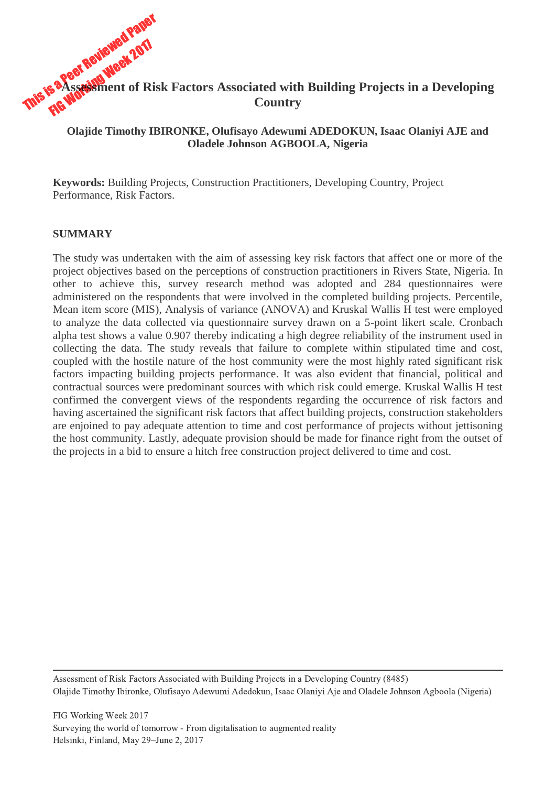

## **Olajide Timothy IBIRONKE, Olufisayo Adewumi ADEDOKUN, Isaac Olaniyi AJE and Oladele Johnson AGBOOLA, Nigeria**

**Keywords:** Building Projects, Construction Practitioners, Developing Country, Project Performance, Risk Factors.

#### **SUMMARY**

The study was undertaken with the aim of assessing key risk factors that affect one or more of the project objectives based on the perceptions of construction practitioners in Rivers State, Nigeria. In other to achieve this, survey research method was adopted and 284 questionnaires were administered on the respondents that were involved in the completed building projects. Percentile, Mean item score (MIS), Analysis of variance (ANOVA) and Kruskal Wallis H test were employed to analyze the data collected via questionnaire survey drawn on a 5-point likert scale. Cronbach alpha test shows a value 0.907 thereby indicating a high degree reliability of the instrument used in collecting the data. The study reveals that failure to complete within stipulated time and cost, coupled with the hostile nature of the host community were the most highly rated significant risk factors impacting building projects performance. It was also evident that financial, political and contractual sources were predominant sources with which risk could emerge. Kruskal Wallis H test confirmed the convergent views of the respondents regarding the occurrence of risk factors and having ascertained the significant risk factors that affect building projects, construction stakeholders are enjoined to pay adequate attention to time and cost performance of projects without jettisoning the host community. Lastly, adequate provision should be made for finance right from the outset of the projects in a bid to ensure a hitch free construction project delivered to time and cost.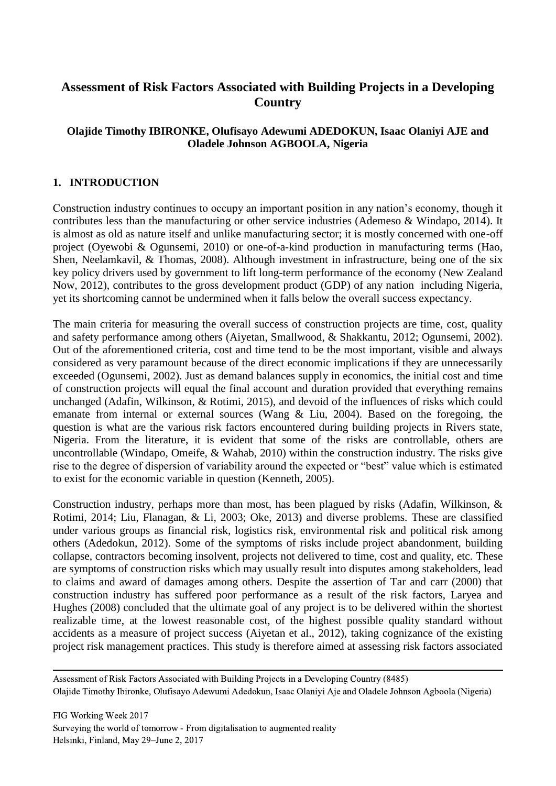# **Assessment of Risk Factors Associated with Building Projects in a Developing Country**

## **Olajide Timothy IBIRONKE, Olufisayo Adewumi ADEDOKUN, Isaac Olaniyi AJE and Oladele Johnson AGBOOLA, Nigeria**

## **1. INTRODUCTION**

Construction industry continues to occupy an important position in any nation's economy, though it contributes less than the manufacturing or other service industries (Ademeso & Windapo, 2014). It is almost as old as nature itself and unlike manufacturing sector; it is mostly concerned with one-off project (Oyewobi & Ogunsemi, 2010) or one-of-a-kind production in manufacturing terms (Hao, Shen, Neelamkavil, & Thomas, 2008). Although investment in infrastructure, being one of the six key policy drivers used by government to lift long-term performance of the economy (New Zealand Now, 2012), contributes to the gross development product (GDP) of any nation including Nigeria, yet its shortcoming cannot be undermined when it falls below the overall success expectancy.

The main criteria for measuring the overall success of construction projects are time, cost, quality and safety performance among others (Aiyetan, Smallwood, & Shakkantu, 2012; Ogunsemi, 2002). Out of the aforementioned criteria, cost and time tend to be the most important, visible and always considered as very paramount because of the direct economic implications if they are unnecessarily exceeded (Ogunsemi, 2002). Just as demand balances supply in economics, the initial cost and time of construction projects will equal the final account and duration provided that everything remains unchanged (Adafin, Wilkinson, & Rotimi, 2015), and devoid of the influences of risks which could emanate from internal or external sources (Wang & Liu, 2004). Based on the foregoing, the question is what are the various risk factors encountered during building projects in Rivers state, Nigeria. From the literature, it is evident that some of the risks are controllable, others are uncontrollable (Windapo, Omeife, & Wahab, 2010) within the construction industry. The risks give rise to the degree of dispersion of variability around the expected or "best" value which is estimated to exist for the economic variable in question (Kenneth, 2005).

Construction industry, perhaps more than most, has been plagued by risks (Adafin, Wilkinson, & Rotimi, 2014; Liu, Flanagan, & Li, 2003; Oke, 2013) and diverse problems. These are classified under various groups as financial risk, logistics risk, environmental risk and political risk among others (Adedokun, 2012). Some of the symptoms of risks include project abandonment, building collapse, contractors becoming insolvent, projects not delivered to time, cost and quality, etc. These are symptoms of construction risks which may usually result into disputes among stakeholders, lead to claims and award of damages among others. Despite the assertion of Tar and carr (2000) that construction industry has suffered poor performance as a result of the risk factors, Laryea and Hughes (2008) concluded that the ultimate goal of any project is to be delivered within the shortest realizable time, at the lowest reasonable cost, of the highest possible quality standard without accidents as a measure of project success (Aiyetan et al., 2012), taking cognizance of the existing project risk management practices. This study is therefore aimed at assessing risk factors associated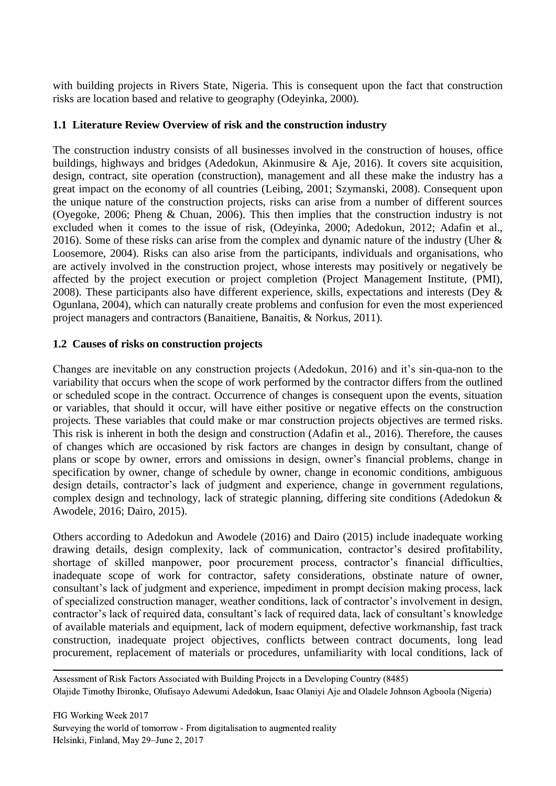with building projects in Rivers State, Nigeria. This is consequent upon the fact that construction risks are location based and relative to geography (Odeyinka, 2000).

## **1.1 Literature Review Overview of risk and the construction industry**

The construction industry consists of all businesses involved in the construction of houses, office buildings, highways and bridges (Adedokun, Akinmusire & Aje, 2016). It covers site acquisition, design, contract, site operation (construction), management and all these make the industry has a great impact on the economy of all countries (Leibing, 2001; Szymanski, 2008). Consequent upon the unique nature of the construction projects, risks can arise from a number of different sources (Oyegoke, 2006; Pheng & Chuan, 2006). This then implies that the construction industry is not excluded when it comes to the issue of risk, (Odeyinka, 2000; Adedokun, 2012; Adafin et al., 2016). Some of these risks can arise from the complex and dynamic nature of the industry (Uher & Loosemore, 2004). Risks can also arise from the participants, individuals and organisations, who are actively involved in the construction project, whose interests may positively or negatively be affected by the project execution or project completion (Project Management Institute, (PMI), 2008). These participants also have different experience, skills, expectations and interests (Dey & Ogunlana, 2004), which can naturally create problems and confusion for even the most experienced project managers and contractors (Banaitiene, Banaitis, & Norkus, 2011).

#### **1.2 Causes of risks on construction projects**

Changes are inevitable on any construction projects (Adedokun, 2016) and it's sin-qua-non to the variability that occurs when the scope of work performed by the contractor differs from the outlined or scheduled scope in the contract. Occurrence of changes is consequent upon the events, situation or variables, that should it occur, will have either positive or negative effects on the construction projects. These variables that could make or mar construction projects objectives are termed risks. This risk is inherent in both the design and construction (Adafin et al., 2016). Therefore, the causes of changes which are occasioned by risk factors are changes in design by consultant, change of plans or scope by owner, errors and omissions in design, owner's financial problems, change in specification by owner, change of schedule by owner, change in economic conditions, ambiguous design details, contractor's lack of judgment and experience, change in government regulations, complex design and technology, lack of strategic planning, differing site conditions (Adedokun & Awodele, 2016; Dairo, 2015).

Others according to Adedokun and Awodele (2016) and Dairo (2015) include inadequate working drawing details, design complexity, lack of communication, contractor's desired profitability, shortage of skilled manpower, poor procurement process, contractor's financial difficulties, inadequate scope of work for contractor, safety considerations, obstinate nature of owner, consultant's lack of judgment and experience, impediment in prompt decision making process, lack of specialized construction manager, weather conditions, lack of contractor's involvement in design, contractor's lack of required data, consultant's lack of required data, lack of consultant's knowledge of available materials and equipment, lack of modern equipment, defective workmanship, fast track construction, inadequate project objectives, conflicts between contract documents, long lead procurement, replacement of materials or procedures, unfamiliarity with local conditions, lack of

Assessment of Risk Factors Associated with Building Projects in a Developing Country (8485) Olajide Timothy Ibironke, Olufisayo Adewumi Adedokun, Isaac Olaniyi Aje and Oladele Johnson Agboola (Nigeria)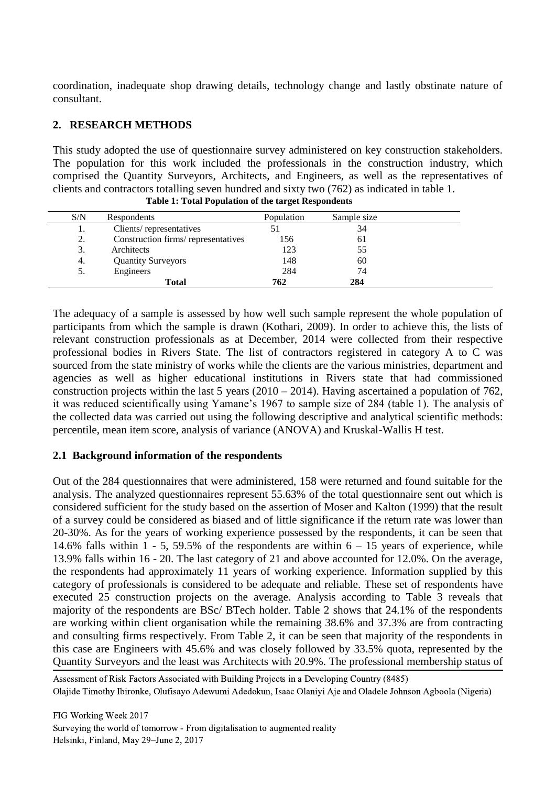coordination, inadequate shop drawing details, technology change and lastly obstinate nature of consultant.

## **2. RESEARCH METHODS**

This study adopted the use of questionnaire survey administered on key construction stakeholders. The population for this work included the professionals in the construction industry, which comprised the Quantity Surveyors, Architects, and Engineers, as well as the representatives of clients and contractors totalling seven hundred and sixty two (762) as indicated in table 1.

| S/N | Respondents                         | Population | Sample size |  |
|-----|-------------------------------------|------------|-------------|--|
| . . | Clients/representatives             |            | 34          |  |
| 2.  | Construction firms/ representatives | 156        | 61          |  |
| 3.  | Architects                          | 123        | 55          |  |
| 4.  | <b>Quantity Surveyors</b>           | 148        | 60          |  |
| 5.  | Engineers                           | 284        | 74          |  |
|     | Total                               | 762        | 284         |  |

**Table 1: Total Population of the target Respondents**

The adequacy of a sample is assessed by how well such sample represent the whole population of participants from which the sample is drawn (Kothari, 2009). In order to achieve this, the lists of relevant construction professionals as at December, 2014 were collected from their respective professional bodies in Rivers State. The list of contractors registered in category A to C was sourced from the state ministry of works while the clients are the various ministries, department and agencies as well as higher educational institutions in Rivers state that had commissioned construction projects within the last 5 years  $(2010 - 2014)$ . Having ascertained a population of 762, it was reduced scientifically using Yamane's 1967 to sample size of 284 (table 1). The analysis of the collected data was carried out using the following descriptive and analytical scientific methods: percentile, mean item score, analysis of variance (ANOVA) and Kruskal-Wallis H test.

## **2.1 Background information of the respondents**

Out of the 284 questionnaires that were administered, 158 were returned and found suitable for the analysis. The analyzed questionnaires represent 55.63% of the total questionnaire sent out which is considered sufficient for the study based on the assertion of Moser and Kalton (1999) that the result of a survey could be considered as biased and of little significance if the return rate was lower than 20-30%. As for the years of working experience possessed by the respondents, it can be seen that 14.6% falls within 1 - 5, 59.5% of the respondents are within  $6 - 15$  years of experience, while 13.9% falls within 16 - 20. The last category of 21 and above accounted for 12.0%. On the average, the respondents had approximately 11 years of working experience. Information supplied by this category of professionals is considered to be adequate and reliable. These set of respondents have executed 25 construction projects on the average. Analysis according to Table 3 reveals that majority of the respondents are BSc/ BTech holder. Table 2 shows that 24.1% of the respondents are working within client organisation while the remaining 38.6% and 37.3% are from contracting and consulting firms respectively. From Table 2, it can be seen that majority of the respondents in this case are Engineers with 45.6% and was closely followed by 33.5% quota, represented by the Quantity Surveyors and the least was Architects with 20.9%. The professional membership status of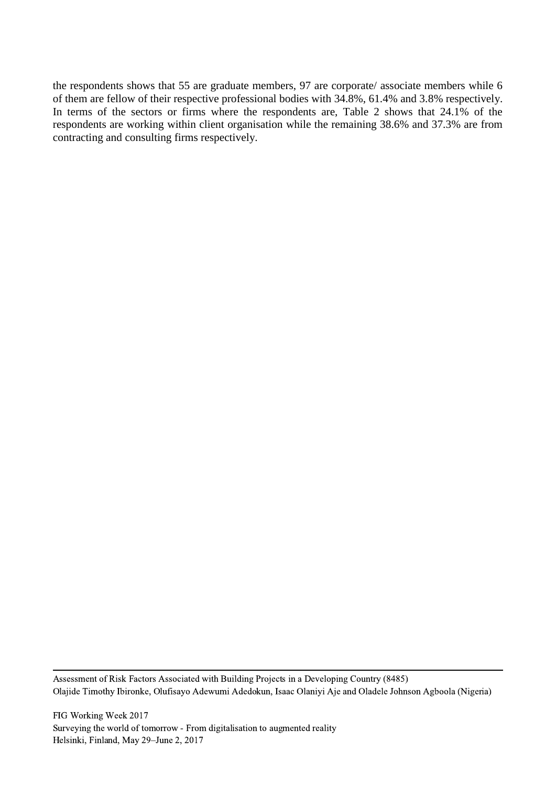the respondents shows that 55 are graduate members, 97 are corporate/ associate members while 6 of them are fellow of their respective professional bodies with 34.8%, 61.4% and 3.8% respectively. In terms of the sectors or firms where the respondents are, Table 2 shows that 24.1% of the respondents are working within client organisation while the remaining 38.6% and 37.3% are from contracting and consulting firms respectively.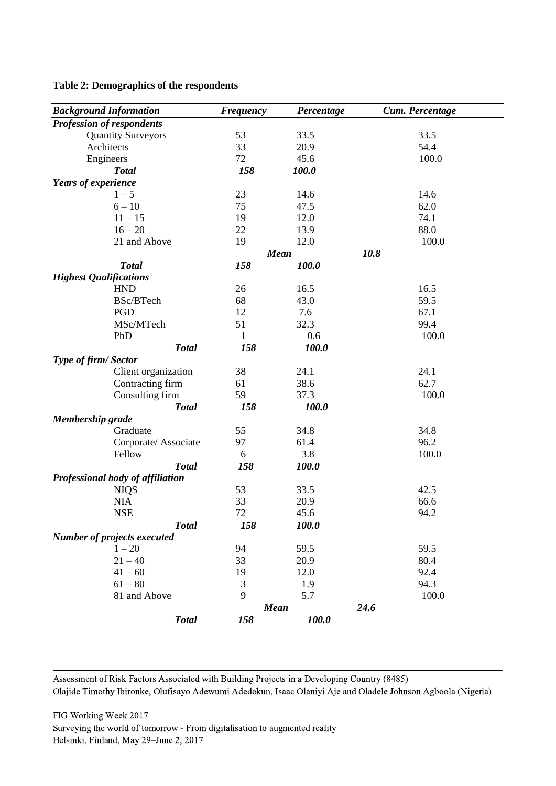#### **Table 2: Demographics of the respondents**

| <b>Background Information</b>      | <b>Frequency</b> | Percentage  | Cum. Percentage |
|------------------------------------|------------------|-------------|-----------------|
| <b>Profession of respondents</b>   |                  |             |                 |
| <b>Quantity Surveyors</b>          | 53               | 33.5        | 33.5            |
| Architects                         | 33               | 20.9        | 54.4            |
| Engineers                          | 72               | 45.6        | 100.0           |
| <b>Total</b>                       | 158              | 100.0       |                 |
| Years of experience                |                  |             |                 |
| $1 - 5$                            | 23               | 14.6        | 14.6            |
| $6 - 10$                           | 75               | 47.5        | 62.0            |
| $11 - 15$                          | 19               | 12.0        | 74.1            |
| $16 - 20$                          | 22               | 13.9        | 88.0            |
| 21 and Above                       | 19               | 12.0        | 100.0           |
|                                    |                  | <b>Mean</b> | 10.8            |
| <b>Total</b>                       | 158              | 100.0       |                 |
| <b>Highest Qualifications</b>      |                  |             |                 |
| <b>HND</b>                         | 26               | 16.5        | 16.5            |
| BSc/BTech                          | 68               | 43.0        | 59.5            |
| PGD                                | 12               | 7.6         | 67.1            |
| MSc/MTech                          | 51               | 32.3        | 99.4            |
| PhD                                | 1                | 0.6         | 100.0           |
| <b>Total</b>                       | 158              | 100.0       |                 |
| Type of firm/Sector                |                  |             |                 |
| Client organization                | 38               | 24.1        | 24.1            |
| Contracting firm                   | 61               | 38.6        | 62.7            |
| Consulting firm                    | 59               | 37.3        | 100.0           |
| <b>Total</b>                       | 158              | 100.0       |                 |
| <b>Membership grade</b>            |                  |             |                 |
| Graduate                           | 55               | 34.8        | 34.8            |
| Corporate/Associate                | 97               | 61.4        | 96.2            |
| Fellow                             | 6                | 3.8         | 100.0           |
| <b>Total</b>                       | 158              | 100.0       |                 |
| Professional body of affiliation   |                  |             |                 |
| <b>NIQS</b>                        | 53               | 33.5        | 42.5            |
| <b>NIA</b>                         | 33               | 20.9        | 66.6            |
| <b>NSE</b>                         | 72               | 45.6        | 94.2            |
| <b>Total</b>                       | 158              | 100.0       |                 |
| <b>Number of projects executed</b> |                  |             |                 |
| $1 - 20$                           | 94               | 59.5        | 59.5            |
| $21 - 40$                          | 33               | 20.9        | 80.4            |
| $41 - 60$                          | 19               | 12.0        | 92.4            |
| $61 - 80$                          | 3                | 1.9         | 94.3            |
| 81 and Above                       | 9                | 5.7         | 100.0           |
|                                    | <b>Mean</b>      |             | 24.6            |
| <b>Total</b>                       | 158              | 100.0       |                 |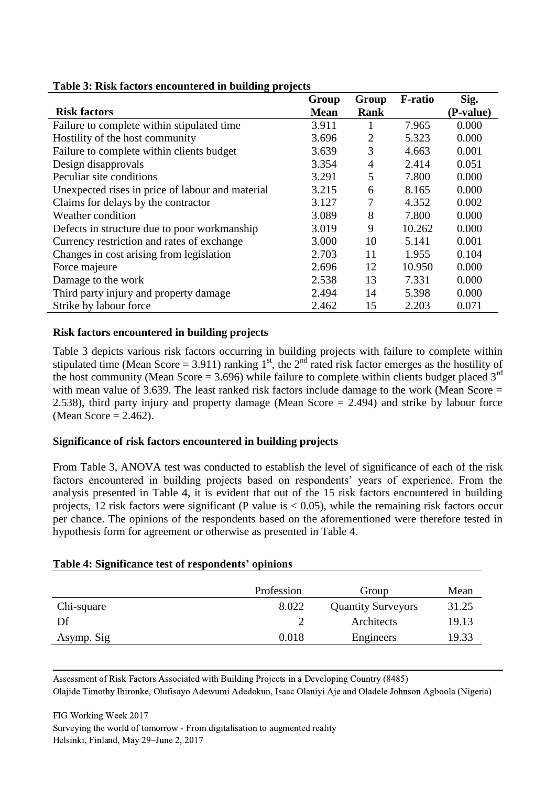| . .                                              | Group       | Group          | <b>F-ratio</b> | Sig.      |
|--------------------------------------------------|-------------|----------------|----------------|-----------|
| <b>Risk factors</b>                              | <b>Mean</b> | Rank           |                | (P-value) |
| Failure to complete within stipulated time       | 3.911       |                | 7.965          | 0.000     |
| Hostility of the host community                  | 3.696       | $\overline{2}$ | 5.323          | 0.000     |
| Failure to complete within clients budget        | 3.639       | 3              | 4.663          | 0.001     |
| Design disapprovals                              | 3.354       | $\overline{4}$ | 2.414          | 0.051     |
| Peculiar site conditions                         | 3.291       | 5              | 7.800          | 0.000     |
| Unexpected rises in price of labour and material | 3.215       | 6              | 8.165          | 0.000     |
| Claims for delays by the contractor              | 3.127       | 7              | 4.352          | 0.002     |
| Weather condition                                | 3.089       | 8              | 7.800          | 0.000     |
| Defects in structure due to poor workmanship     | 3.019       | 9              | 10.262         | 0.000     |
| Currency restriction and rates of exchange       | 3.000       | 10             | 5.141          | 0.001     |
| Changes in cost arising from legislation         | 2.703       | 11             | 1.955          | 0.104     |
| Force majeure                                    | 2.696       | 12             | 10.950         | 0.000     |
| Damage to the work                               | 2.538       | 13             | 7.331          | 0.000     |
| Third party injury and property damage           | 2.494       | 14             | 5.398          | 0.000     |
| Strike by labour force                           | 2.462       | 15             | 2.203          | 0.071     |

#### **Table 3: Risk factors encountered in building projects**

#### **Risk factors encountered in building projects**

Table 3 depicts various risk factors occurring in building projects with failure to complete within stipulated time (Mean Score = 3.911) ranking  $1^{st}$ , the  $2^{nd}$  rated risk factor emerges as the hostility of the host community (Mean Score = 3.696) while failure to complete within clients budget placed  $3<sup>rd</sup>$ with mean value of 3.639. The least ranked risk factors include damage to the work (Mean Score  $=$ 2.538), third party injury and property damage (Mean Score = 2.494) and strike by labour force (Mean Score  $= 2.462$ ).

## **Significance of risk factors encountered in building projects**

From Table 3, ANOVA test was conducted to establish the level of significance of each of the risk factors encountered in building projects based on respondents' years of experience. From the analysis presented in Table 4, it is evident that out of the 15 risk factors encountered in building projects, 12 risk factors were significant (P value is  $< 0.05$ ), while the remaining risk factors occur per chance. The opinions of the respondents based on the aforementioned were therefore tested in hypothesis form for agreement or otherwise as presented in Table 4.

|            | Profession | Group                     | Mean  |
|------------|------------|---------------------------|-------|
| Chi-square | 8.022      | <b>Quantity Surveyors</b> | 31.25 |
| Df         |            | Architects                | 19.13 |
| Asymp. Sig | 0.018      | Engineers                 | 19.33 |

#### **Table 4: Significance test of respondents' opinions**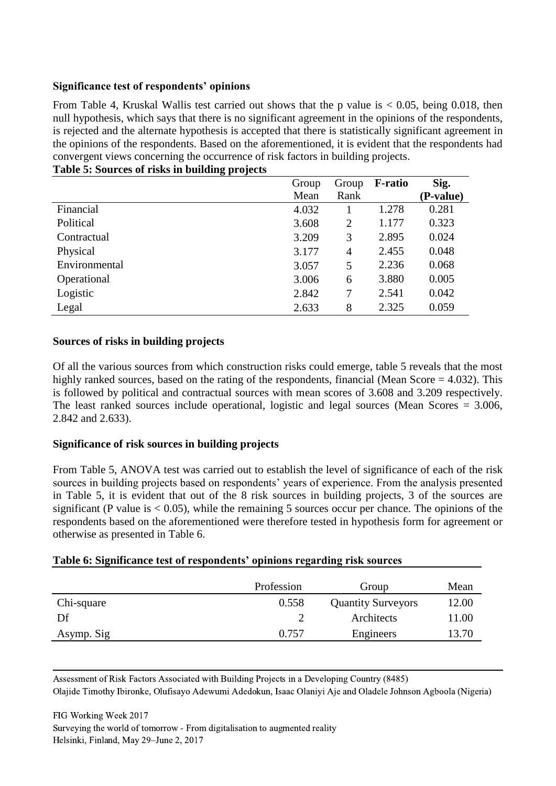## **Significance test of respondents' opinions**

From Table 4, Kruskal Wallis test carried out shows that the p value is  $< 0.05$ , being 0.018, then null hypothesis, which says that there is no significant agreement in the opinions of the respondents, is rejected and the alternate hypothesis is accepted that there is statistically significant agreement in the opinions of the respondents. Based on the aforementioned, it is evident that the respondents had convergent views concerning the occurrence of risk factors in building projects. **Table 5: Sources of risks in building projects**

|               | Group | Group          | <b>F-ratio</b> | Sig.      |
|---------------|-------|----------------|----------------|-----------|
|               | Mean  | Rank           |                | (P-value) |
| Financial     | 4.032 |                | 1.278          | 0.281     |
| Political     | 3.608 | $\overline{2}$ | 1.177          | 0.323     |
| Contractual   | 3.209 | 3              | 2.895          | 0.024     |
| Physical      | 3.177 | $\overline{4}$ | 2.455          | 0.048     |
| Environmental | 3.057 | 5              | 2.236          | 0.068     |
| Operational   | 3.006 | 6              | 3.880          | 0.005     |
| Logistic      | 2.842 | 7              | 2.541          | 0.042     |
| Legal         | 2.633 | 8              | 2.325          | 0.059     |

#### **Sources of risks in building projects**

Of all the various sources from which construction risks could emerge, table 5 reveals that the most highly ranked sources, based on the rating of the respondents, financial (Mean Score = 4.032). This is followed by political and contractual sources with mean scores of 3.608 and 3.209 respectively. The least ranked sources include operational, logistic and legal sources (Mean Scores  $= 3.006$ , 2.842 and 2.633).

## **Significance of risk sources in building projects**

From Table 5, ANOVA test was carried out to establish the level of significance of each of the risk sources in building projects based on respondents' years of experience. From the analysis presented in Table 5, it is evident that out of the 8 risk sources in building projects, 3 of the sources are significant (P value is  $\lt 0.05$ ), while the remaining 5 sources occur per chance. The opinions of the respondents based on the aforementioned were therefore tested in hypothesis form for agreement or otherwise as presented in Table 6.

|            | Profession | Group                     | Mean  |
|------------|------------|---------------------------|-------|
| Chi-square | 0.558      | <b>Quantity Surveyors</b> | 12.00 |
| Df         |            | Architects                | 11.00 |
| Asymp. Sig | 0.757      | Engineers                 | 13.70 |

#### **Table 6: Significance test of respondents' opinions regarding risk sources**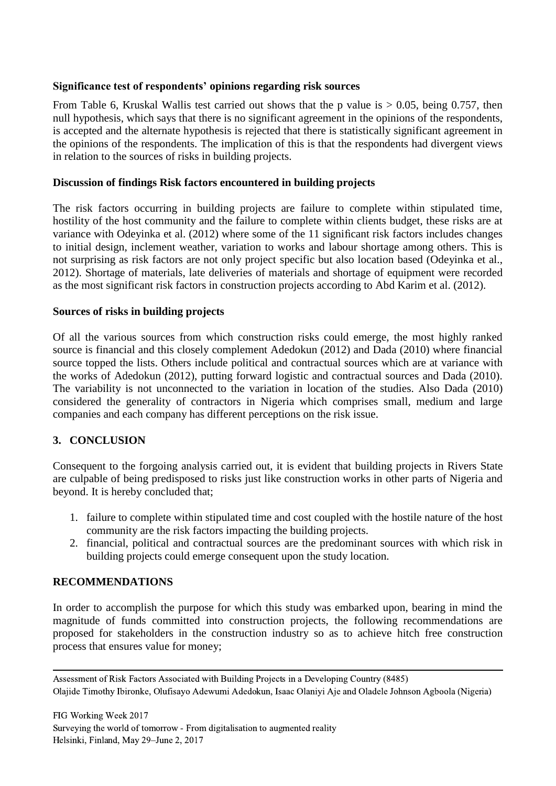### **Significance test of respondents' opinions regarding risk sources**

From Table 6, Kruskal Wallis test carried out shows that the p value is  $> 0.05$ , being 0.757, then null hypothesis, which says that there is no significant agreement in the opinions of the respondents, is accepted and the alternate hypothesis is rejected that there is statistically significant agreement in the opinions of the respondents. The implication of this is that the respondents had divergent views in relation to the sources of risks in building projects.

#### **Discussion of findings Risk factors encountered in building projects**

The risk factors occurring in building projects are failure to complete within stipulated time, hostility of the host community and the failure to complete within clients budget, these risks are at variance with Odeyinka et al. (2012) where some of the 11 significant risk factors includes changes to initial design, inclement weather, variation to works and labour shortage among others. This is not surprising as risk factors are not only project specific but also location based (Odeyinka et al., 2012). Shortage of materials, late deliveries of materials and shortage of equipment were recorded as the most significant risk factors in construction projects according to Abd Karim et al. (2012).

#### **Sources of risks in building projects**

Of all the various sources from which construction risks could emerge, the most highly ranked source is financial and this closely complement Adedokun (2012) and Dada (2010) where financial source topped the lists. Others include political and contractual sources which are at variance with the works of Adedokun (2012), putting forward logistic and contractual sources and Dada (2010). The variability is not unconnected to the variation in location of the studies. Also Dada (2010) considered the generality of contractors in Nigeria which comprises small, medium and large companies and each company has different perceptions on the risk issue.

## **3. CONCLUSION**

Consequent to the forgoing analysis carried out, it is evident that building projects in Rivers State are culpable of being predisposed to risks just like construction works in other parts of Nigeria and beyond. It is hereby concluded that;

- 1. failure to complete within stipulated time and cost coupled with the hostile nature of the host community are the risk factors impacting the building projects.
- 2. financial, political and contractual sources are the predominant sources with which risk in building projects could emerge consequent upon the study location.

#### **RECOMMENDATIONS**

In order to accomplish the purpose for which this study was embarked upon, bearing in mind the magnitude of funds committed into construction projects, the following recommendations are proposed for stakeholders in the construction industry so as to achieve hitch free construction process that ensures value for money;

Assessment of Risk Factors Associated with Building Projects in a Developing Country (8485) Olajide Timothy Ibironke, Olufisayo Adewumi Adedokun, Isaac Olaniyi Aje and Oladele Johnson Agboola (Nigeria)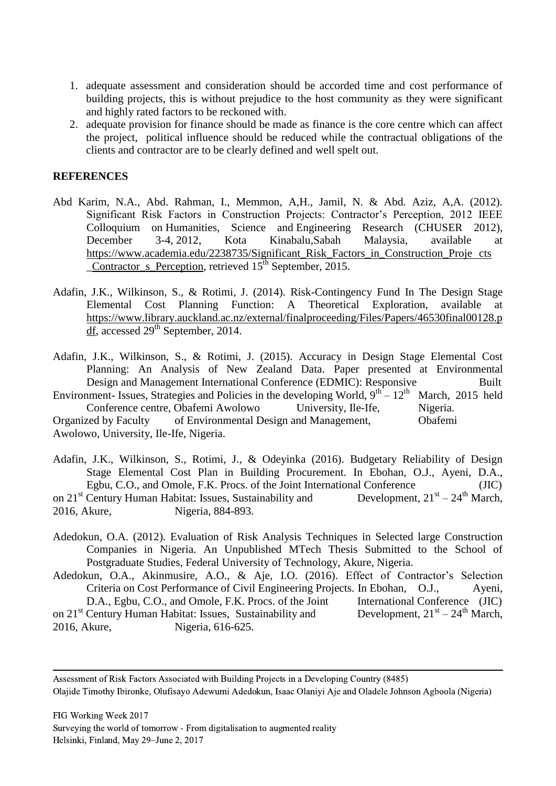- 1. adequate assessment and consideration should be accorded time and cost performance of building projects, this is without prejudice to the host community as they were significant and highly rated factors to be reckoned with.
- 2. adequate provision for finance should be made as finance is the core centre which can affect the project, political influence should be reduced while the contractual obligations of the clients and contractor are to be clearly defined and well spelt out.

#### **REFERENCES**

- Abd Karim, N.A., Abd. Rahman, I., Memmon, A,H., Jamil, N. & Abd. Aziz, A,A. (2012). Significant Risk Factors in Construction Projects: Contractor's Perception, 2012 IEEE Colloquium on Humanities, Science and Engineering Research (CHUSER 2012), December 3-4, 2012, Kota Kinabalu,Sabah Malaysia, available at [https://www.academia.edu/2238735/Significant\\_Risk\\_Factors\\_in\\_Construction\\_Proje](https://www.academia.edu/2238735/Significant_Risk_Factors_in_Construction_Proje%09cts%09_Contractor_s_Perception)\_cts Contractor s Perception, retrieved 15<sup>th</sup> September, 2015.
- Adafin, J.K., Wilkinson, S., & Rotimi, J. (2014). Risk-Contingency Fund In The Design Stage Elemental Cost Planning Function: A Theoretical Exploration, available at [https://www.library.auckland.ac.nz/external/finalproceeding/Files/Papers/46530final00128.p](https://www.library.auckland.ac.nz/external/finalproceeding/Files/Papers/46530final00128.pdf)  $df$ , accessed 29<sup>th</sup> September, 2014.

Adafin, J.K., Wilkinson, S., & Rotimi, J. (2015). Accuracy in Design Stage Elemental Cost Planning: An Analysis of New Zealand Data. Paper presented at Environmental Design and Management International Conference (EDMIC): Responsive Built

Environment- Issues, Strategies and Policies in the developing World,  $9^{th} - 12^{th}$  March, 2015 held Conference centre, Obafemi Awolowo University, Ile-Ife, Nigeria. Organized by Faculty of Environmental Design and Management, Obafemi Awolowo, University, Ile-Ife, Nigeria.

Adafin, J.K., Wilkinson, S., Rotimi, J., & Odeyinka (2016). Budgetary Reliability of Design Stage Elemental Cost Plan in Building Procurement. In Ebohan, O.J., Ayeni, D.A., Egbu, C.O., and Omole, F.K. Procs. of the Joint International Conference (JIC) on 21<sup>st</sup> Century Human Habitat: Issues, Sustainability and Development,  $21^{st} - 24^{th}$  March, 2016, Akure, Nigeria, 884-893.

Adedokun, O.A. (2012). Evaluation of Risk Analysis Techniques in Selected large Construction Companies in Nigeria. An Unpublished MTech Thesis Submitted to the School of Postgraduate Studies, Federal University of Technology, Akure, Nigeria.

Adedokun, O.A., Akinmusire, A.O., & Aje, I.O. (2016). Effect of Contractor's Selection Criteria on Cost Performance of Civil Engineering Projects. In Ebohan, O.J., Ayeni, D.A., Egbu, C.O., and Omole, F.K. Procs. of the Joint International Conference (JIC) on 21<sup>st</sup> Century Human Habitat: Issues, Sustainability and Development,  $21<sup>st</sup> - 24<sup>th</sup> March$ , 2016, Akure, Nigeria, 616-625.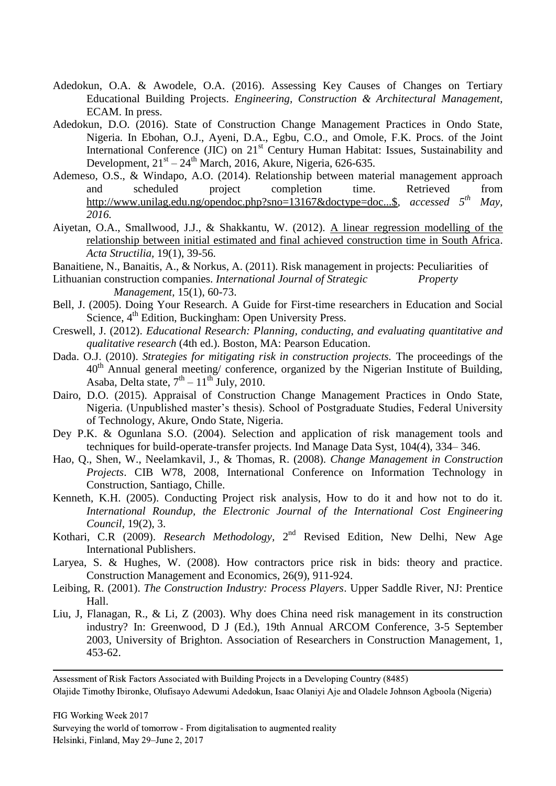- Adedokun, O.A. & Awodele, O.A. (2016). Assessing Key Causes of Changes on Tertiary Educational Building Projects. *Engineering, Construction & Architectural Management,*  ECAM. In press.
- Adedokun, D.O. (2016). State of Construction Change Management Practices in Ondo State, Nigeria. In Ebohan, O.J., Ayeni, D.A., Egbu, C.O., and Omole, F.K. Procs. of the Joint International Conference (JIC) on 21<sup>st</sup> Century Human Habitat: Issues, Sustainability and Development,  $21<sup>st</sup> - 24<sup>th</sup> March, 2016$ , Akure, Nigeria, 626-635.
- Ademeso, O.S., & Windapo, A.O. (2014). Relationship between material management approach and scheduled project completion time. Retrieved from [http://www.unilag.edu.ng/opendoc.php?sno=13167&doctype=doc...\\$](http://www.unilag.edu.ng/opendoc.php?sno=13167&doctype=doc...$)*, accessed 5th May, 2016.*
- Aiyetan, O.A., Smallwood, J.J., & Shakkantu, W. (2012). [A linear regression modelling of the](http://www.ajol.info/index.php/actas/article/view/85417)  [relationship between initial estimated and final achieved construction time in South Africa.](http://www.ajol.info/index.php/actas/article/view/85417) *Acta Structilia,* 19(1), 39-56.
- Banaitiene, N., Banaitis, A., & Norkus, A. (2011). Risk management in projects: Peculiarities of
- Lithuanian construction companies. *International Journal of Strategic Property Management,* 15(1), 60-73.
- Bell, J. (2005). Doing Your Research. A Guide for First-time researchers in Education and Social Science, 4<sup>th</sup> Edition, Buckingham: Open University Press.
- Creswell, J. (2012). *Educational Research: Planning, conducting, and evaluating quantitative and qualitative research* (4th ed.). Boston, MA: Pearson Education.
- Dada. O.J. (2010). *Strategies for mitigating risk in construction projects.* The proceedings of the  $40<sup>th</sup>$  Annual general meeting/ conference, organized by the Nigerian Institute of Building, Asaba, Delta state,  $7<sup>th</sup> - 11<sup>th</sup>$  July, 2010.
- Dairo, D.O. (2015). Appraisal of Construction Change Management Practices in Ondo State, Nigeria. (Unpublished master's thesis). School of Postgraduate Studies, Federal University of Technology, Akure, Ondo State, Nigeria.
- Dey P.K. & Ogunlana S.O. (2004). Selection and application of risk management tools and techniques for build-operate-transfer projects. Ind Manage Data Syst, 104(4), 334– 346.
- Hao, Q., Shen, W., Neelamkavil, J., & Thomas, R. (2008). *Change Management in Construction Projects*. CIB W78, 2008, International Conference on Information Technology in Construction, Santiago, Chille.
- Kenneth, K.H. (2005). Conducting Project risk analysis, How to do it and how not to do it. *International Roundup, the Electronic Journal of the International Cost Engineering Council,* 19(2), 3.
- Kothari, C.R (2009). *Research Methodology*, 2<sup>nd</sup> Revised Edition, New Delhi, New Age International Publishers.
- Laryea, S. & Hughes, W. (2008). How contractors price risk in bids: theory and practice. Construction Management and Economics, 26(9), 911-924.
- Leibing, R. (2001). *The Construction Industry: Process Players*. Upper Saddle River, NJ: Prentice Hall.
- Liu, J, Flanagan, R., & Li, Z (2003). Why does China need risk management in its construction industry? In: Greenwood, D J (Ed.), 19th Annual ARCOM Conference, 3-5 September 2003, University of Brighton. Association of Researchers in Construction Management, 1, 453-62.

Assessment of Risk Factors Associated with Building Projects in a Developing Country (8485) Olajide Timothy Ibironke, Olufisayo Adewumi Adedokun, Isaac Olaniyi Aje and Oladele Johnson Agboola (Nigeria)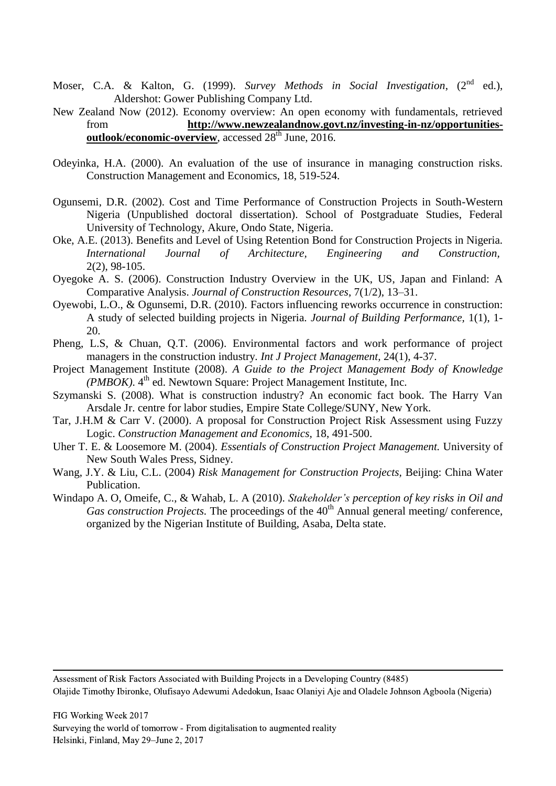- Moser, C.A. & Kalton, G. (1999). *Survey Methods in Social Investigation*, (2<sup>nd</sup> ed.), Aldershot: Gower Publishing Company Ltd.
- New Zealand Now (2012). Economy overview: An open economy with fundamentals, retrieved from **[http://www.newzealandnow.govt.nz/investing-in-nz/opportunities](http://www.newzealandnow.govt.nz/investing-in-nz/opportunities-outlook/economic-overview)[outlook/economic-overview](http://www.newzealandnow.govt.nz/investing-in-nz/opportunities-outlook/economic-overview)**, accessed 28<sup>th</sup> June, 2016.
- Odeyinka, H.A. (2000). An evaluation of the use of insurance in managing construction risks. Construction Management and Economics, 18, 519-524.
- Ogunsemi, D.R. (2002). Cost and Time Performance of Construction Projects in South-Western Nigeria (Unpublished doctoral dissertation). School of Postgraduate Studies, Federal University of Technology, Akure, Ondo State, Nigeria.
- Oke, A.E. (2013). Benefits and Level of Using Retention Bond for Construction Projects in Nigeria. *International Journal of Architecture, Engineering and Construction,* 2(2), 98-105.
- Oyegoke A. S. (2006). Construction Industry Overview in the UK, US, Japan and Finland: A Comparative Analysis. *Journal of Construction Resources*, 7(1/2), 13–31.
- Oyewobi, L.O., & Ogunsemi, D.R. (2010). Factors influencing reworks occurrence in construction: A study of selected building projects in Nigeria. *Journal of Building Performance,* 1(1), 1- 20.
- Pheng, L.S, & Chuan, Q.T. (2006). Environmental factors and work performance of project managers in the construction industry. *Int J Project Management,* 24(1), 4-37.
- Project Management Institute (2008). *A Guide to the Project Management Body of Knowledge (PMBOK)*. 4<sup>th</sup> ed. Newtown Square: Project Management Institute, Inc.
- Szymanski S. (2008). What is construction industry? An economic fact book. The Harry Van Arsdale Jr. centre for labor studies, Empire State College/SUNY, New York.
- Tar, J.H.M & Carr V. (2000). A proposal for Construction Project Risk Assessment using Fuzzy Logic. *Construction Management and Economics,* 18, 491-500.
- Uher T. E. & Loosemore M. (2004). *Essentials of Construction Project Management.* University of New South Wales Press, Sidney.
- Wang, J.Y. & Liu, C.L. (2004) *Risk Management for Construction Projects,* Beijing: China Water Publication.
- Windapo A. O, Omeife, C., & Wahab, L. A (2010). *Stakeholder's perception of key risks in Oil and Gas construction Projects.* The proceedings of the 40<sup>th</sup> Annual general meeting/ conference, organized by the Nigerian Institute of Building, Asaba, Delta state.